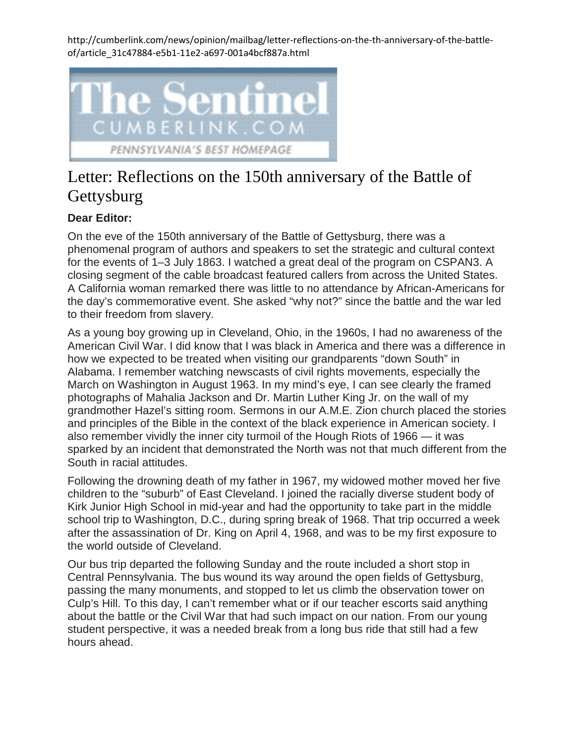http://cumberlink.com/news/opinion/mailbag/letter-reflections-on-the-th-anniversary-of-the-battleof/article\_31c47884-e5b1-11e2-a697-001a4bcf887a.html



## Letter: Reflections on the 150th anniversary of the Battle of **Gettysburg**

## **Dear Editor:**

On the eve of the 150th anniversary of the Battle of Gettysburg, there was a phenomenal program of authors and speakers to set the strategic and cultural context for the events of 1–3 July 1863. I watched a great deal of the program on CSPAN3. A closing segment of the cable broadcast featured callers from across the United States. A California woman remarked there was little to no attendance by African-Americans for the day's commemorative event. She asked "why not?" since the battle and the war led to their freedom from slavery.

As a young boy growing up in Cleveland, Ohio, in the 1960s, I had no awareness of the American Civil War. I did know that I was black in America and there was a difference in how we expected to be treated when visiting our grandparents "down South" in Alabama. I remember watching newscasts of civil rights movements, especially the March on Washington in August 1963. In my mind's eye, I can see clearly the framed photographs of Mahalia Jackson and Dr. Martin Luther King Jr. on the wall of my grandmother Hazel's sitting room. Sermons in our A.M.E. Zion church placed the stories and principles of the Bible in the context of the black experience in American society. I also remember vividly the inner city turmoil of the Hough Riots of 1966 — it was sparked by an incident that demonstrated the North was not that much different from the South in racial attitudes.

Following the drowning death of my father in 1967, my widowed mother moved her five children to the "suburb" of East Cleveland. I joined the racially diverse student body of Kirk Junior High School in mid-year and had the opportunity to take part in the middle school trip to Washington, D.C., during spring break of 1968. That trip occurred a week after the assassination of Dr. King on April 4, 1968, and was to be my first exposure to the world outside of Cleveland.

Our bus trip departed the following Sunday and the route included a short stop in Central Pennsylvania. The bus wound its way around the open fields of Gettysburg, passing the many monuments, and stopped to let us climb the observation tower on Culp's Hill. To this day, I can't remember what or if our teacher escorts said anything about the battle or the Civil War that had such impact on our nation. From our young student perspective, it was a needed break from a long bus ride that still had a few hours ahead.